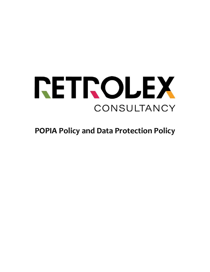

**POPIA Policy and Data Protection Policy**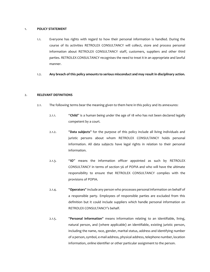#### 1. **POLICY STATEMENT**

- 1.1. Everyone has rights with regard to how their personal information is handled. During the course of its activities RETROLEX CONSULTANCY will collect, store and process personal information about RETROLEX CONSULTANCY staff, customers, suppliers and other third parties. RETROLEX CONSULTANCY recognises the need to treat it in an appropriate and lawful manner.
- 1.2. **Any breach of this policy amounts to serious misconduct and may result in disciplinary action.**

#### 2. **RELEVANT DEFINITIONS**

- 2.1. The following terms bear the meaning given to them here in this policy and its annexures:
	- 2.1.1. "**Child**" is a human being under the age of 18 who has not been declared legally competent by a court.
	- 2.1.2. "**Data subjects**" for the purpose of this policy include all living individuals and juristic persons about whom RETROLEX CONSULTANCY holds personal information. All data subjects have legal rights in relation to their personal information.
	- 2.1.3. "**IO**" means the information officer appointed as such by RETROLEX CONSULTANCY in terms of section 56 of POPIA and who will have the ultimate responsibility to ensure that RETROLEX CONSULTANCY complies with the provisions of POPIA.
	- 2.1.4. "**Operators**" include any person who processes personal information on behalf of a responsible party. Employees of responsible parties are excluded from this definition but it could include suppliers which handle personal information on RETROLEX CONSULTANCY's behalf.
	- 2.1.5. "**Personal information**" means information relating to an identifiable, living, natural person, and (where applicable) an identifiable, existing juristic person, including the name, race, gender, marital status, address and identifying number of a person, symbol, e-mail address, physical address, telephone number, location information, online identifier or other particular assignment to the person.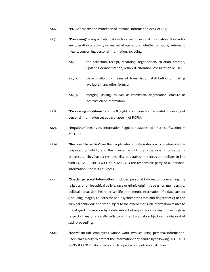- 2.1.6. "**POPIA**" means the Protection of Personal Information Act 4 of 2013.
- 2.1.7. "**Processing**" is any activity that involves use of personal information. It includes any operation or activity or any set of operations, whether or not by automatic means, concerning personal information, including -
	- 2.1.7.1. the collection, receipt, recording, organisation, collation, storage, updating or modification, retrieval, alteration, consultation or use;
	- 2.1.7.2. dissemination by means of transmission, distribution or making available in any other form; or
	- 2.1.7.3. merging, linking, as well as restriction, degradation, erasure or destruction of information.
- 2.1.8. "**Processing conditions**" are the 8 (eight) conditions for the lawful processing of personal information set out in chapter 3 of POPIA.
- 2.1.9. "**Regulator**" means the Information Regulator established in terms of section 39 of POPIA.
- 2.1.10. "**Responsible parties**" are the people who or organisations which determine the purposes for which, and the manner in which, any personal information is processed. They have a responsibility to establish practices and policies in line with POPIA. RETROLEX CONSULTANCY is the responsible party of all personal information used in its business.
- 2.1.11. "**Special personal information**" includes personal information concerning the religious or philosophical beliefs, race or ethnic origin, trade union membership, political persuasion, health or sex life or biometric information of a data subject (including images, lie detector and psychometric tests and fingerprints); or the criminal behaviour of a data subject to the extent that such information relates to the alleged commission by a data subject of any offence; or any proceedings in respect of any offence allegedly committed by a data subject or the disposal of such proceedings.
- 2.1.12. "**Users**" include employees whose work involves using personal information. Users have a duty to protect the information they handle by following RETROLEX CONSULTANCY data privacy and data protection policies at all times.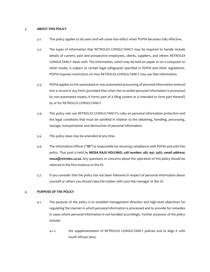#### 3. **ABOUT THIS POLICY**

- 3.1. This policy applies to all users and will come into effect when POPIA becomes fully effective.
- 3.2. The types of information that RETROLEX CONSULTANCY may be required to handle include details of current, past and prospective employees, clients, suppliers, and others RETROLEX CONSULTANCY deals with. The information, which may be held on paper or on a computer or other media, is subject to certain legal safeguards specified in POPIA and other regulations. POPIA imposes restrictions on how RETROLEX CONSULTANCY may use that information.
- 3.3. POPIA applies to the automated or non-automated processing of personal information entered into a record in any form (provided that when the recorded personal information is processed by non-automated means, it forms part of a filing system or is intended to form part thereof) by or for RETROLEX CONSULTANCY.
- 3.4. This policy sets out RETROLEX CONSULTANCY's rules on personal information protection and the legal conditions that must be satisfied in relation to the obtaining, handling, processing, storage, transportation and destruction of personal information.
- 3.5. This policy does may be amended at any time.
- 3.6. The Information Officer ("**IO**") is responsible for ensuring compliance with POPIA and with this policy. That post is held by **MOSA RAJU HOLOMO, cell number: 082 997 2487, email address: mosa@retrolex.co.za.** Any questions or concerns about the operation of this policy should be referred in the first instance to the IO.
- 3.7. If you consider that the policy has not been followed in respect of personal information about yourself or others you should raise the matter with your line manager or the IO.

## 4. **PURPOSE OF THE POLICY**

- 4.1. The purpose of the policy is to establish management direction and high-level objectives for regulating the manner in which personal information is processed and to provide for remedies in cases where personal information is not handled accordingly. Further purposes of the policy include:
	- 4.1.1. the supplementation of RETROLEX CONSULTANCY policies and to align it with South African laws;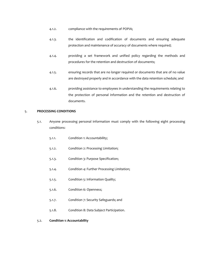- 4.1.2. compliance with the requirements of POPIA;
- 4.1.3. the identification and codification of documents and ensuring adequate protection and maintenance of accuracy of documents where required;
- 4.1.4. providing a set framework and unified policy regarding the methods and procedures for the retention and destruction of documents;
- 4.1.5. ensuring records that are no longer required or documents that are of no value are destroyed properly and in accordance with the data retention schedule; and
- 4.1.6. providing assistance to employees in understanding the requirements relating to the protection of personal information and the retention and destruction of documents.

## 5. **PROCESSING CONDITIONS**

- 5.1. Anyone processing personal information must comply with the following eight processing conditions:
	- 5.1.1. Condition 1: Accountability;
	- 5.1.2. Condition 2: Processing Limitation;
	- 5.1.3. Condition 3: Purpose Specification;
	- 5.1.4. Condition 4: Further Processing Limitation;
	- 5.1.5. Condition 5: Information Quality;
	- 5.1.6. Condition 6: Openness;
	- 5.1.7. Condition 7: Security Safeguards; and
	- 5.1.8. Condition 8: Data Subject Participation.
- 5.2. **Condition 1: Accountability**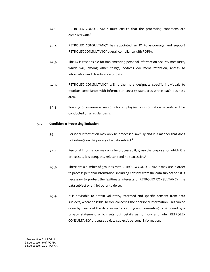- 5.2.1. RETROLEX CONSULTANCY must ensure that the processing conditions are complied with.<sup>1</sup>
- 5.2.2. RETROLEX CONSULTANCY has appointed an IO to encourage and support RETROLEX CONSULTANCY overall compliance with POPIA.
- 5.2.3. The IO is responsible for implementing personal information security measures, which will, among other things, address document retention, access to information and classification of data.
- 5.2.4. RETROLEX CONSULTANCY will furthermore designate specific individuals to monitor compliance with information security standards within each business area.
- 5.2.5. Training or awareness sessions for employees on information security will be conducted on a regular basis.

#### 5.3. **Condition 2: Processing limitation**

- 5.3.1. Personal information may only be processed lawfully and in a manner that does not infringe on the privacy of a data subject. $2$
- *5.3.2.* Personal information may only be processed if, given the purpose for which it is processed, it is adequate, relevant and not excessive. $3$
- 5.3.3. There are a number of grounds that RETROLEX CONSULTANCY may use in order to process personal information, including consent from the data subject or if it is necessary to protect the legitimate interests of RETROLEX CONSULTANCY, the data subject or a third party to do so.
- 5.3.4. It is advisable to obtain voluntary, informed and specific consent from data subjects, where possible, before collecting their personal information. This can be done by means of the data subject accepting and consenting to be bound by a privacy statement which sets out details as to how and why RETROLEX CONSULTANCY processes a data subject's personal information.

<sup>&</sup>lt;sup>1</sup> See section 6 of POPIA.

<sup>2</sup> See section 9 of POPIA

<sup>3</sup> See section 10 of POPIA.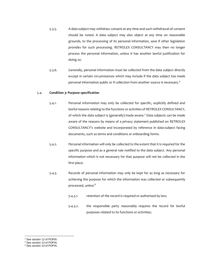- 5.3.5. A data subject may withdraw consent at any time and such withdrawal of consent should be noted. A data subject may also object at any time on reasonable grounds, to the processing of its personal information, save if other legislation provides for such processing. RETROLEX CONSULTANCY may then no longer process the personal information, unless it has another lawful justification for doing so.
- 5.3.6. Generally, personal information must be collected from the data subject directly except in certain circumstances which may include if the data subject has made personal information public or if collection from another source is necessary.<sup>4</sup>

#### 5.4. **Condition 3: Purpose specification**

- 5.4.1. Personal information may only be collected for specific, explicitly defined and lawful reasons relating to the functions or activities of RETROLEX CONSULTANCY, of which the data subject is (generally) made aware.<sup>5</sup> Data subjects can be made aware of the reasons by means of a privacy statement published on RETROLEX CONSULTANCY's website and incorporated by reference in data-subject facing documents, such as terms and conditions or onboarding forms.
- 5.4.2. Personal information will only be collected to the extent that it is required for the specific purpose and as a general rule notified to the data subject. Any personal information which is not necessary for that purpose will not be collected in the first place.
- 5.4.3. Records of personal information may only be kept for as long as necessary for achieving the purpose for which the information was collected or subsequently processed, unless<sup>:6</sup>
	- 5.4.3.1. retention of the record is required or authorised by law;
	- 5.4.3.2. the responsible party reasonably requires the record for lawful purposes related to its functions or activities;

<sup>4</sup> See section 12 of POPIA.

<sup>5</sup> See section 13 of POPIA.

<sup>&</sup>lt;sup>6</sup> See section 14 of POPIA.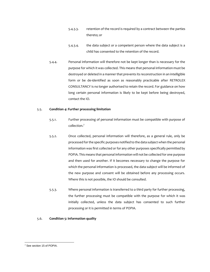- 5.4.3.3. retention of the record is required by a contract between the parties thereto; or
- 5.4.3.4. the data subject or a competent person where the data subject is a child has consented to the retention of the record.
- 5.4.4. Personal information will therefore not be kept longer than is necessary for the purpose for which it was collected. This means that personal information must be destroyed or deleted in a manner that prevents its reconstruction in an intelligible form or be de-identified as soon as reasonably practicable after RETROLEX CONSULTANCY is no longer authorised to retain the record. For guidance on how long certain personal information is likely to be kept before being destroyed, contact the IO.

## 5.5. **Condition 4: Further processing limitation**

- 5.5.1. Further processing of personal information must be compatible with purpose of collection.<sup>7</sup>
- 5.5.2. Once collected, personal information will therefore, as a general rule, only be processed for the specific purposes notified to the data subject when the personal information was first collected or for any other purposes specifically permitted by POPIA. This means that personal information will not be collected for one purpose and then used for another. If it becomes necessary to change the purpose for which the personal information is processed, the data subject will be informed of the new purpose and consent will be obtained before any processing occurs. Where this is not possible, the IO should be consulted.
- 5.5.3. Where personal information is transferred to a third party for further processing, the further processing must be compatible with the purpose for which it was initially collected, unless the data subject has consented to such further processing or it is permitted in terms of POPIA.

## 5.6. **Condition 5: Information quality**

<sup>7</sup> See section 15 of POPIA.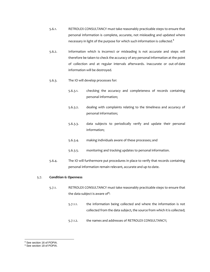- 5.6.1. RETROLEX CONSULTANCY must take reasonably practicable steps to ensure that personal information is complete, accurate, not misleading and updated where necessary in light of the purpose for which such information is collected. $8$
- 5.6.2. Information which is incorrect or misleading is not accurate and steps will therefore be taken to check the accuracy of any personal information at the point of collection and at regular intervals afterwards. Inaccurate or out-of-date information will be destroyed.
- 5.6.3. The IO will develop processes for:
	- 5.6.3.1. checking the accuracy and completeness of records containing personal information;
	- 5.6.3.2. dealing with complaints relating to the timeliness and accuracy of personal information;
	- 5.6.3.3. data subjects to periodically verify and update their personal information;
	- 5.6.3.4. making individuals aware of these processes; and
	- 5.6.3.5. monitoring and tracking updates to personal information.
- 5.6.4. The IO will furthermore put procedures in place to verify that records containing personal information remain relevant, accurate and up-to-date.

#### 5.7. **Condition 6: Openness**

- 5.7.1. RETROLEX CONSULTANCY must take reasonably practicable steps to ensure that the data subject is aware of<sup>9</sup>:
	- 5.7.1.1. the information being collected and where the information is not collected from the data subject, the source from which it is collected;
	- 5.7.1.2. the names and addresses of RETROLEX CONSULTANCY;

<sup>8</sup> See section 16 of POPIA.

<sup>9</sup> See section 18 of POPIA.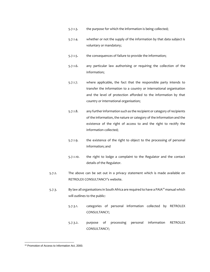- 5.7.1.3. the purpose for which the information is being collected;
- 5.7.1.4. whether or not the supply of the information by that data subject is voluntary or mandatory;
- 5.7.1.5. the consequences of failure to provide the information;
- 5.7.1.6. any particular law authorising or requiring the collection of the information;
- 5.7.1.7. where applicable, the fact that the responsible party intends to transfer the information to a country or international organisation and the level of protection afforded to the information by that country or international organisation;
- 5.7.1.8. any further information such as the recipient or category of recipients of the information, the nature or category of the information and the existence of the right of access to and the right to rectify the information collected;
- 5.7.1.9. the existence of the right to object to the processing of personal information; and
- 5.7.1.10. the right to lodge a complaint to the Regulator and the contact details of the Regulator.
- 5.7.2. The above can be set out in a privacy statement which is made available on RETROLEX CONSULTANCY's website.
- 5.7.3. By law all organisations in South Africa are required to have a PAIA<sup>10</sup> manual which will outlines to the public:
	- 5.7.3.1. categories of personal information collected by RETROLEX CONSULTANCY;
	- 5.7.3.2. purpose of processing personal information RETROLEX CONSULTANCY;

<sup>10</sup> Promotion of Access to Information Act, 2000.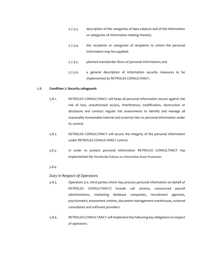- 5.7.3.3. description of the categories of data subjects and of the information or categories of information relating thereto;
- 5.7.3.4. the recipients or categories of recipients to whom the personal information may be supplied;
- 5.7.3.5. planned transborder flows of personal information; and
- 5.7.3.6. a general description of information security measures to be implemented by RETROLEX CONSULTANCY.

## 5.8. **Condition 7: Security safeguards**

- 5.8.1. RETROLEX CONSULTANCY will keep all personal information secure against the risk of loss, unauthorised access, interference, modification, destruction or disclosure and conduct regular risk assessments to identify and manage all reasonably foreseeable internal and external risks to personal information under its control.
- 5.8.2. RETROLEX CONSULTANCY will secure the integrity of the personal information under RETROLEX CONSULTANCY control.
- *5.8.3.* In order to protect personal information RETROLEX CONSULTANCY has implemented the Worldwide Policies on Information Asset Protection.

# *5.8.4.*

# *Duty in Respect of Operators*

- 5.8.5. Operators (i.e. third parties which may process personal information on behalf of RETROLEX CONSULTANCY) include call centres, outsourced payroll administrators, marketing database companies, recruitment agencies, psychometric assessment centres, document management warehouses, external consultants and software providers.
- 5.8.6. RETROLEX CONSULTANCY will implement the following key obligations in respect of operators: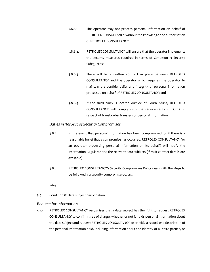- 5.8.6.1. The operator may not process personal information on behalf of RETROLEX CONSULTANCY without the knowledge and authorisation of RETROLEX CONSULTANCY;
- 5.8.6.2. RETROLEX CONSULTANCY will ensure that the operator implements the security measures required in terms of Condition 7: Security Safeguards;
- 5.8.6.3. There will be a written contract in place between RETROLEX CONSULTANCY and the operator which requires the operator to maintain the confidentiality and integrity of personal information processed on behalf of RETROLEX CONSULTANCY; and
- 5.8.6.4. If the third party is located outside of South Africa, RETROLEX CONSULTANCY will comply with the requirements in POPIA in respect of transborder transfers of personal information.

# *Duties in Respect of Security Compromises*

- 5.8.7. In the event that personal information has been compromised, or if there is a reasonable belief that a compromise has occurred, RETROLEX CONSULTANCY (or an operator processing personal information on its behalf) will notify the Information Regulator and the relevant data subjects (if their contact details are available).
- 5.8.8. RETROLEX CONSULTANCY's Security Compromises Policy deals with the steps to be followed if a security compromise occurs.

## 5.8.9.

5.9. Condition 8: Data subject participation

# *Request for Information*

5.10. RETROLEX CONSULTANCY recognises that a data subject has the right to request RETROLEX CONSULTANCY to confirm, free of charge, whether or not it holds personal information about the data subject and request RETROLEX CONSULTANCY to provide a record or a description of the personal information held, including information about the identity of all third parties, or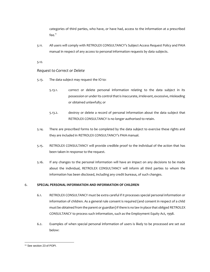categories of third parties, who have, or have had, access to the information at a prescribed  $fee.$ <sup>11</sup>

*5.11.* All users will comply with RETROLEX CONSULTANCY's Subject Access Request Policy and PAIA manual in respect of any access to personal information requests by data subjects.

*5.12.*

# *Request to Correct or Delete*

- 5.13. The data subject may request the IO to:
	- 5.13.1. correct or delete personal information relating to the data subject in its possession or under its control that is inaccurate, irrelevant, excessive, misleading or obtained unlawfully; or
	- 5.13.2. destroy or delete a record of personal information about the data subject that RETROLEX CONSULTANCY is no longer authorised to retain.
- 5.14. There are prescribed forms to be completed by the data subject to exercise these rights and they are included in RETROLEX CONSULTANCY's PAIA manual.
- 5.15. RETROLEX CONSULTANCY will provide credible proof to the individual of the action that has been taken in response to the request.
- 5.16. If any changes to the personal information will have an impact on any decisions to be made about the individual, RETROLEX CONSULTANCY will inform all third parties to whom the information has been disclosed, including any credit bureaus, of such changes.

## 6. **SPECIAL PERSONAL INFORMATION AND INFORMATION OF CHILDREN**

- 6.1. RETROLEX CONSULTANCY must be extra careful if it processes special personal information or information of children. As a general rule consent is required (and consent in respect of a child must be obtained from the parent or guardian) if there is no law in place that obliged RETROLEX CONSULTANCY to process such information, such as the Employment Equity Act, 1998.
- 6.2. Examples of when special personal information of users is likely to be processed are set out below:

<sup>&</sup>lt;sup>11</sup> See section 23 of POPI.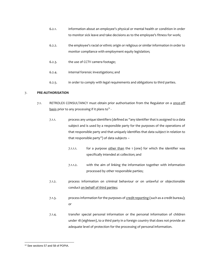- 6.2.1. information about an employee's physical or mental health or condition in order to monitor sick leave and take decisions as to the employee's fitness for work;
- 6.2.2. the employee's racial or ethnic origin or religious or similar information in order to monitor compliance with employment equity legislation;
- 6.2.3. the use of CCTV camera footage;
- 6.2.4. internal forensic investigations; and
- 6.2.5. in order to comply with legal requirements and obligations to third parties.

## 7. **PRE-AUTHORISATION**

- 7.1. RETROLEX CONSULTANCY must obtain prior authorisation from the Regulator on a <u>once-off</u>  $\underline{\text{basis}}$  prior to any processing if it plans to $^{\text{12}}$  -
	- 7.1.1. process any unique identifiers (defined as "any identifier that is assigned to a data subject and is used by a responsible party for the purposes of the operations of that responsible party and that uniquely identifies that data subject in relation to that responsible party") of data subjects –
		- 7.1.1.1.  $\qquad$  for a purpose other than the 1 (one) for which the identifier was specifically intended at collection; and
		- 7.1.1.2. with the aim of linking the information together with information processed by other responsible parties;
	- 7.1.2. process information on criminal behaviour or on unlawful or objectionable conduct on behalf of third parties;
	- 7.1.3. process information for the purposes of credit reporting (such as a credit bureau); or
	- 7.1.4. transfer special personal information or the personal information of children under 18 (eighteen), to a third party in a foreign country that does not provide an adequate level of protection for the processing of personal information.

<sup>&</sup>lt;sup>12</sup> See sections 57 and 58 of POPIA.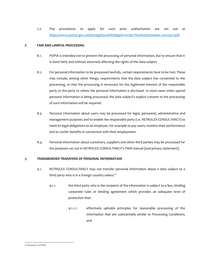7.2. The procedures to apply for such prior authorisation are set out at [https://www.justice.gov.za/inforeg/docs/InfoRegSA-Invite-PriorAuthorisation-20210311.pdf.](https://www.justice.gov.za/inforeg/docs/InfoRegSA-Invite-PriorAuthorisation-20210311.pdf)

## 8. **FAIR AND LAWFUL PROCESSING**

- 8.1. POPIA is intended not to prevent the processing of personal information, but to ensure that it is done fairly and without adversely affecting the rights of the data subject.
- 8.2. For personal information to be processed lawfully, certain requirements have to be met. These may include, among other things, requirements that the data subject has consented to the processing, or that the processing is necessary for the legitimate interest of the responsible party or the party to whom the personal information is disclosed. In most cases when special personal information is being processed, the data subject's explicit consent to the processing of such information will be required.
- 8.3. Personal information about users may be processed for legal, personnel, administrative and management purposes and to enable the responsible party (i.e. RETROLEX CONSULTANCY) to meet its legal obligations as an employer, for example to pay users, monitor their performance and to confer benefits in connection with their employment.
- 8.4. Personal information about customers, suppliers and other third parties may be processed for the purposes set out in RETROLEX CONSULTANCY's PAIA manual [and privacy statement].

## 9. **TRANSBORDER TRANSFERS OF PERSONAL INFORMATION**

- 9.1. RETROLEX CONSULTANCY may not transfer personal information about a data subject to a third party who is in a foreign country unless: $13$ 
	- 9.1.1. the third party who is the recipient of the information is subject to a **l**aw, binding corporate rules or binding agreement which provides an adequate level of protection that:
		- 9.1.1.1. effectively upholds principles for reasonable processing of the information that are substantially similar to Processing Conditions; and

<sup>13</sup> See section 72 of POPIA.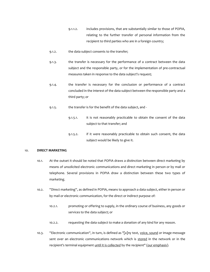- 9.1.1.2. includes provisions, that are substantially similar to those of POPIA, relating to the further transfer of personal information from the recipient to third parties who are in a foreign country;
- 9.1.2. the data subject consents to the transfer;
- 9.1.3. the transfer is necessary for the performance of a contract between the data subject and the responsible party, or for the implementation of pre-contractual measures taken in response to the data subject's request;
- 9.1.4. the transfer is necessary for the conclusion or performance of a contract concluded in the interest of the data subject between the responsible party and a third party; or
- 9.1.5. the transfer is for the benefit of the data subject, and -
	- 9.1.5.1. it is not reasonably practicable to obtain the consent of the data subject to that transfer; and
	- 9.1.5.2. if it were reasonably practicable to obtain such consent, the data subject would be likely to give it.

#### 10. **DIRECT MARKETING**

- 10.1. At the outset it should be noted that POPIA draws a distinction between direct marketing by means of unsolicited electronic communications and direct marketing in person or by mail or telephone. Several provisions in POPIA draw a distinction between these two types of marketing.
- 10.2. ''Direct marketing'', as defined in POPIA, means to approach a data subject, either in person or by mail or electronic communication, for the direct or indirect purpose of:
	- 10.2.1. promoting or offering to supply, in the ordinary course of business, any goods or services to the data subject; or
	- 10.2.2. requesting the data subject to make a donation of any kind for any reason.
- 10.3. "Electronic communication", in turn, is defined as "[a]ny text, voice, sound or image message sent over an electronic communications network which is stored in the network or in the recipient's terminal equipment until it is collected by the recipient" (our emphasis).